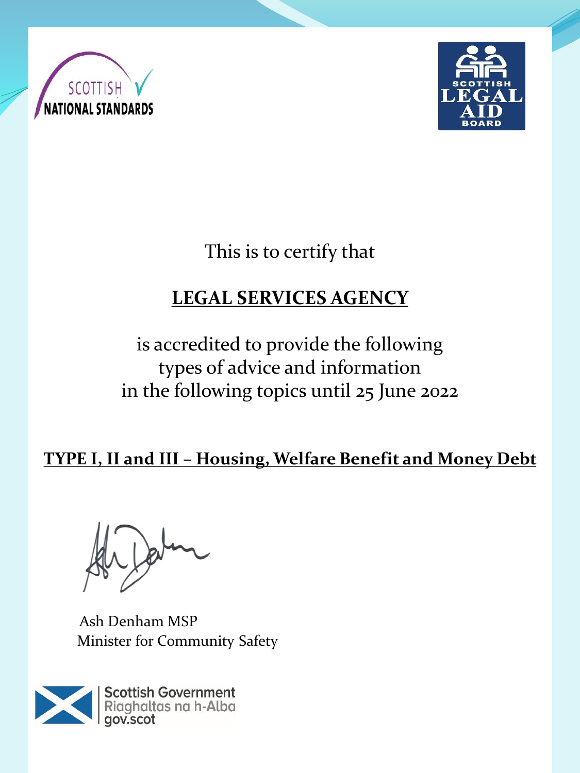



This is to certify that

# **LEGAL SERVICES AGENCY**

is accredited to provide the following types of advice and information in the following topics until 25 June 2022

**TYPE I, II and III – Housing, Welfare Benefit and Money Debt** 

Ash Denham MSP Minister for Community Safety

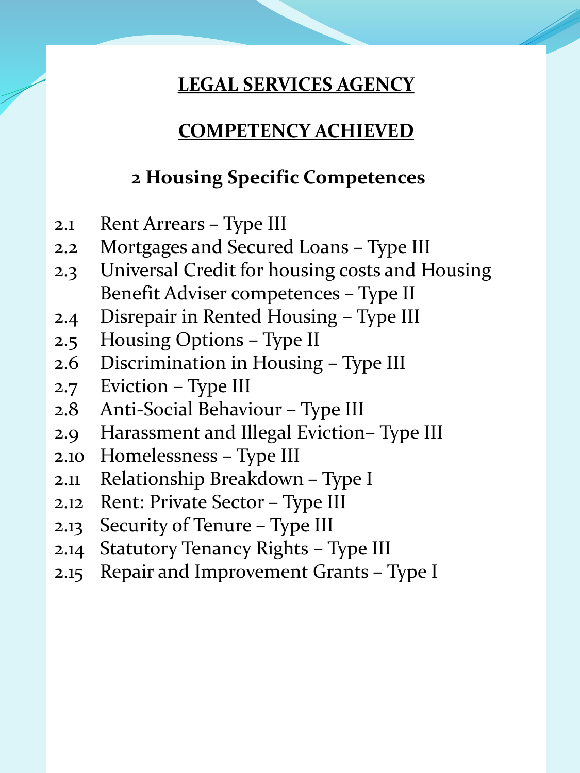### **COMPETENCY ACHIEVED**

## **2 Housing Specific Competences**

- 2.1 Rent Arrears Type III
- 2.2 Mortgages and Secured Loans Type III
- 2.3 Universal Credit for housing costs and Housing Benefit Adviser competences – Type II
- 2.4 Disrepair in Rented Housing Type III
- 2.5 Housing Options Type II
- 2.6 Discrimination in Housing Type III
- 2.7 Eviction Type III
- 2.8 Anti-Social Behaviour Type III
- 2.9 Harassment and Illegal Eviction– Type III
- 2.10 Homelessness Type III
- 2.11 Relationship Breakdown Type I
- 2.12 Rent: Private Sector Type III
- 2.13 Security of Tenure Type III
- 2.14 Statutory Tenancy Rights Type III
- 2.15 Repair and Improvement Grants Type I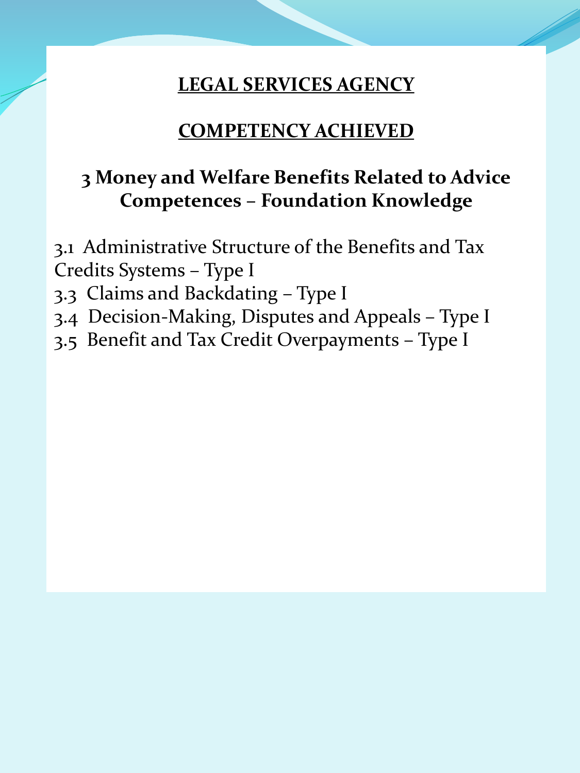#### **COMPETENCY ACHIEVED**

## **3 Money and Welfare Benefits Related to Advice Competences – Foundation Knowledge**

3.1 Administrative Structure of the Benefits and Tax Credits Systems – Type I

- 3.3 Claims and Backdating Type I
- 3.4 Decision-Making, Disputes and Appeals Type I
- 3.5 Benefit and Tax Credit Overpayments Type I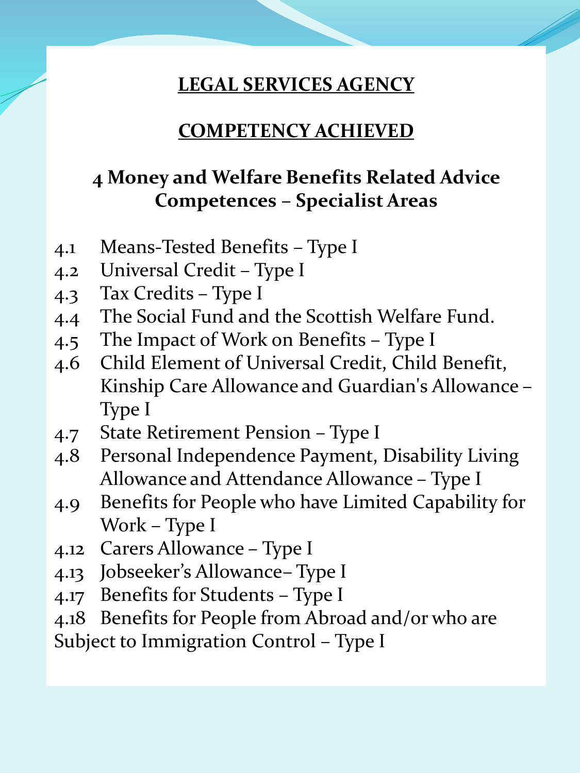#### **COMPETENCY ACHIEVED**

# **4 Money and Welfare Benefits Related Advice Competences – Specialist Areas**

- 4.1 Means-Tested Benefits Type I
- 4.2 Universal Credit Type I
- 4.3 Tax Credits Type I
- 4.4 The Social Fund and the Scottish Welfare Fund.
- 4.5 The Impact of Work on Benefits Type I
- 4.6 Child Element of Universal Credit, Child Benefit, Kinship Care Allowance and Guardian's Allowance – Type I
- 4.7 State Retirement Pension Type I
- 4.8 Personal Independence Payment, Disability Living Allowance and Attendance Allowance – Type I
- 4.9 Benefits for People who have Limited Capability for Work – Type I
- 4.12 Carers Allowance Type I
- 4.13 Jobseeker's Allowance– Type I
- 4.17 Benefits for Students Type I
- 4.18 Benefits for People from Abroad and/or who are

Subject to Immigration Control – Type I